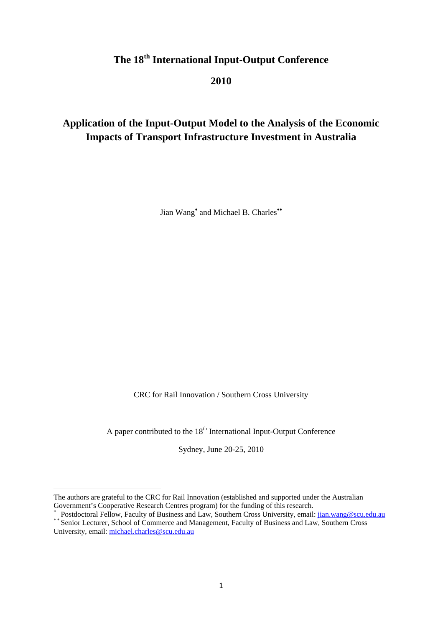# **The 18th International Input-Output Conference**

**2010** 

## **Application of the Input-Output Model to the Analysis of the Economic Impacts of Transport Infrastructure Investment in Australia**

Jian Wang<sup>∗</sup> and Michael B. Charles<sup>\*\*</sup>

CRC for Rail Innovation / Southern Cross University

A paper contributed to the  $18<sup>th</sup>$  International Input-Output Conference

Sydney, June 20-25, 2010

The authors are grateful to the CRC for Rail Innovation (established and supported under the Australian Government's Cooperative Research Centres program) for the funding of this research.

<sup>\*</sup> Postdoctoral Fellow, Faculty of Business and Law, Southern Cross University, email: jian.wang@scu.edu.au \*\* Senior Lecturer, School of Commerce and Management, Faculty of Business and Law, Southern Cross

University, email: michael.charles@scu.edu.au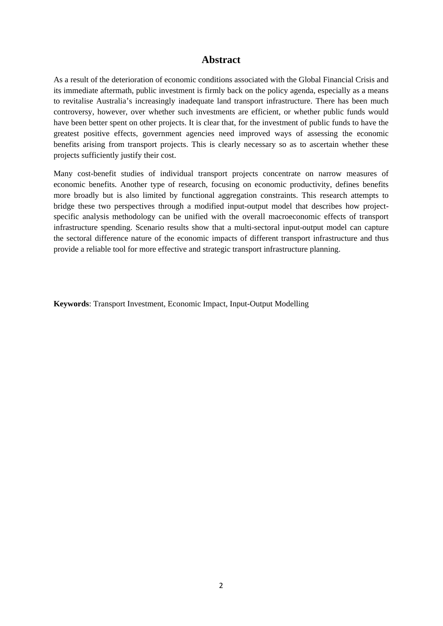## **Abstract**

As a result of the deterioration of economic conditions associated with the Global Financial Crisis and its immediate aftermath, public investment is firmly back on the policy agenda, especially as a means to revitalise Australia's increasingly inadequate land transport infrastructure. There has been much controversy, however, over whether such investments are efficient, or whether public funds would have been better spent on other projects. It is clear that, for the investment of public funds to have the greatest positive effects, government agencies need improved ways of assessing the economic benefits arising from transport projects. This is clearly necessary so as to ascertain whether these projects sufficiently justify their cost.

Many cost-benefit studies of individual transport projects concentrate on narrow measures of economic benefits. Another type of research, focusing on economic productivity, defines benefits more broadly but is also limited by functional aggregation constraints. This research attempts to bridge these two perspectives through a modified input-output model that describes how projectspecific analysis methodology can be unified with the overall macroeconomic effects of transport infrastructure spending. Scenario results show that a multi-sectoral input-output model can capture the sectoral difference nature of the economic impacts of different transport infrastructure and thus provide a reliable tool for more effective and strategic transport infrastructure planning.

**Keywords**: Transport Investment, Economic Impact, Input-Output Modelling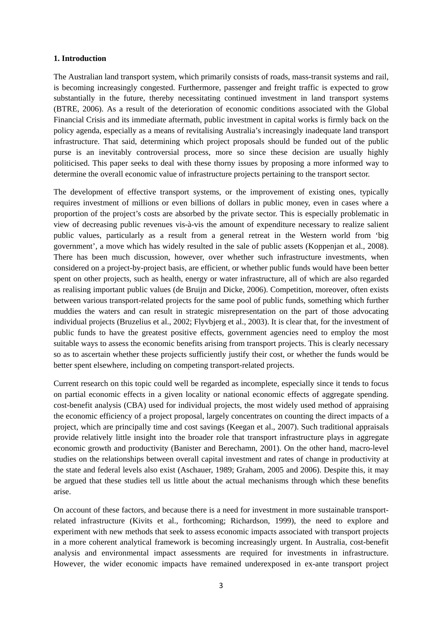#### **1. Introduction**

The Australian land transport system, which primarily consists of roads, mass-transit systems and rail, is becoming increasingly congested. Furthermore, passenger and freight traffic is expected to grow substantially in the future, thereby necessitating continued investment in land transport systems (BTRE, 2006). As a result of the deterioration of economic conditions associated with the Global Financial Crisis and its immediate aftermath, public investment in capital works is firmly back on the policy agenda, especially as a means of revitalising Australia's increasingly inadequate land transport infrastructure. That said, determining which project proposals should be funded out of the public purse is an inevitably controversial process, more so since these decision are usually highly politicised. This paper seeks to deal with these thorny issues by proposing a more informed way to determine the overall economic value of infrastructure projects pertaining to the transport sector.

The development of effective transport systems, or the improvement of existing ones, typically requires investment of millions or even billions of dollars in public money, even in cases where a proportion of the project's costs are absorbed by the private sector. This is especially problematic in view of decreasing public revenues vis-à-vis the amount of expenditure necessary to realize salient public values, particularly as a result from a general retreat in the Western world from 'big government', a move which has widely resulted in the sale of public assets (Koppenjan et al., 2008). There has been much discussion, however, over whether such infrastructure investments, when considered on a project-by-project basis, are efficient, or whether public funds would have been better spent on other projects, such as health, energy or water infrastructure, all of which are also regarded as realising important public values (de Bruijn and Dicke, 2006). Competition, moreover, often exists between various transport-related projects for the same pool of public funds, something which further muddies the waters and can result in strategic misrepresentation on the part of those advocating individual projects (Bruzelius et al., 2002; Flyvbjerg et al., 2003). It is clear that, for the investment of public funds to have the greatest positive effects, government agencies need to employ the most suitable ways to assess the economic benefits arising from transport projects. This is clearly necessary so as to ascertain whether these projects sufficiently justify their cost, or whether the funds would be better spent elsewhere, including on competing transport-related projects.

Current research on this topic could well be regarded as incomplete, especially since it tends to focus on partial economic effects in a given locality or national economic effects of aggregate spending. cost-benefit analysis (CBA) used for individual projects, the most widely used method of appraising the economic efficiency of a project proposal, largely concentrates on counting the direct impacts of a project, which are principally time and cost savings (Keegan et al., 2007). Such traditional appraisals provide relatively little insight into the broader role that transport infrastructure plays in aggregate economic growth and productivity (Banister and Berechamn, 2001). On the other hand, macro-level studies on the relationships between overall capital investment and rates of change in productivity at the state and federal levels also exist (Aschauer, 1989; Graham, 2005 and 2006). Despite this, it may be argued that these studies tell us little about the actual mechanisms through which these benefits arise.

On account of these factors, and because there is a need for investment in more sustainable transportrelated infrastructure (Kivits et al., forthcoming; Richardson, 1999), the need to explore and experiment with new methods that seek to assess economic impacts associated with transport projects in a more coherent analytical framework is becoming increasingly urgent. In Australia, cost-benefit analysis and environmental impact assessments are required for investments in infrastructure. However, the wider economic impacts have remained underexposed in ex-ante transport project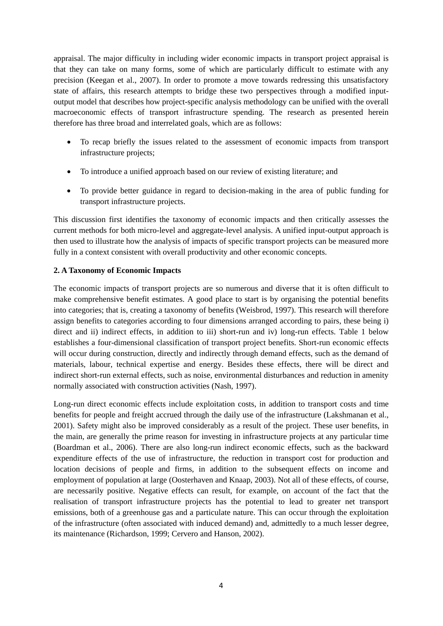appraisal. The major difficulty in including wider economic impacts in transport project appraisal is that they can take on many forms, some of which are particularly difficult to estimate with any precision (Keegan et al., 2007). In order to promote a move towards redressing this unsatisfactory state of affairs, this research attempts to bridge these two perspectives through a modified inputoutput model that describes how project-specific analysis methodology can be unified with the overall macroeconomic effects of transport infrastructure spending. The research as presented herein therefore has three broad and interrelated goals, which are as follows:

- To recap briefly the issues related to the assessment of economic impacts from transport infrastructure projects;
- To introduce a unified approach based on our review of existing literature; and
- To provide better guidance in regard to decision-making in the area of public funding for transport infrastructure projects.

This discussion first identifies the taxonomy of economic impacts and then critically assesses the current methods for both micro-level and aggregate-level analysis. A unified input-output approach is then used to illustrate how the analysis of impacts of specific transport projects can be measured more fully in a context consistent with overall productivity and other economic concepts.

#### **2. A Taxonomy of Economic Impacts**

The economic impacts of transport projects are so numerous and diverse that it is often difficult to make comprehensive benefit estimates. A good place to start is by organising the potential benefits into categories; that is, creating a taxonomy of benefits (Weisbrod, 1997). This research will therefore assign benefits to categories according to four dimensions arranged according to pairs, these being i) direct and ii) indirect effects, in addition to iii) short-run and iv) long-run effects. Table 1 below establishes a four-dimensional classification of transport project benefits. Short-run economic effects will occur during construction, directly and indirectly through demand effects, such as the demand of materials, labour, technical expertise and energy. Besides these effects, there will be direct and indirect short-run external effects, such as noise, environmental disturbances and reduction in amenity normally associated with construction activities (Nash, 1997).

Long-run direct economic effects include exploitation costs, in addition to transport costs and time benefits for people and freight accrued through the daily use of the infrastructure (Lakshmanan et al., 2001). Safety might also be improved considerably as a result of the project. These user benefits, in the main, are generally the prime reason for investing in infrastructure projects at any particular time (Boardman et al., 2006). There are also long-run indirect economic effects, such as the backward expenditure effects of the use of infrastructure, the reduction in transport cost for production and location decisions of people and firms, in addition to the subsequent effects on income and employment of population at large (Oosterhaven and Knaap, 2003). Not all of these effects, of course, are necessarily positive. Negative effects can result, for example, on account of the fact that the realisation of transport infrastructure projects has the potential to lead to greater net transport emissions, both of a greenhouse gas and a particulate nature. This can occur through the exploitation of the infrastructure (often associated with induced demand) and, admittedly to a much lesser degree, its maintenance (Richardson, 1999; Cervero and Hanson, 2002).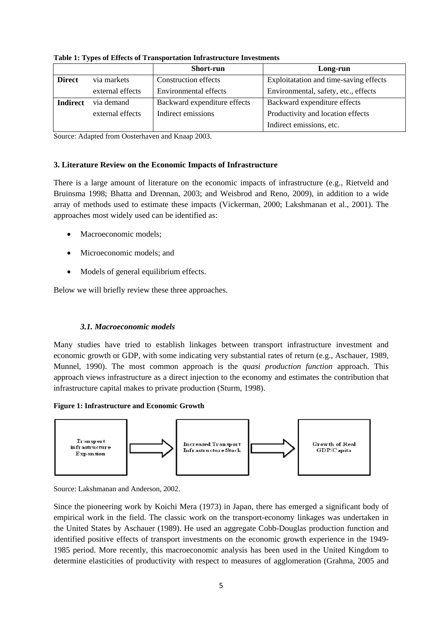|                 |                  | <b>Short-run</b>             | Long-run                               |
|-----------------|------------------|------------------------------|----------------------------------------|
| <b>Direct</b>   | via markets      | <b>Construction effects</b>  | Exploitatation and time-saving effects |
|                 | external effects | Environmental effects        | Environmental, safety, etc., effects   |
| <b>Indirect</b> | via demand       | Backward expenditure effects | Backward expenditure effects           |
|                 | external effects | Indirect emissions           | Productivity and location effects      |
|                 |                  |                              | Indirect emissions, etc.               |

**Table 1: Types of Effects of Transportation Infrastructure Investments** 

Source: Adapted from Oosterhaven and Knaap 2003.

### **3. Literature Review on the Economic Impacts of Infrastructure**

There is a large amount of literature on the economic impacts of infrastructure (e.g., Rietveld and Bruinsma 1998; Bhatta and Drennan, 2003; and Weisbrod and Reno, 2009), in addition to a wide array of methods used to estimate these impacts (Vickerman, 2000; Lakshmanan et al., 2001). The approaches most widely used can be identified as:

- Macroeconomic models:
- Microeconomic models; and
- Models of general equilibrium effects.

Below we will briefly review these three approaches.

## *3.1. Macroeconomic models*

Many studies have tried to establish linkages between transport infrastructure investment and economic growth or GDP, with some indicating very substantial rates of return (e.g., Aschauer, 1989, Munnel, 1990). The most common approach is the *quasi production function* approach. This approach views infrastructure as a direct injection to the economy and estimates the contribution that infrastructure capital makes to private production (Sturm, 1998).

#### **Figure 1: Infrastructure and Economic Growth**



Source: Lakshmanan and Anderson, 2002.

Since the pioneering work by Koichi Mera (1973) in Japan, there has emerged a significant body of empirical work in the field. The classic work on the transport-economy linkages was undertaken in the United States by Aschauer (1989). He used an aggregate Cobb-Douglas production function and identified positive effects of transport investments on the economic growth experience in the 1949- 1985 period. More recently, this macroeconomic analysis has been used in the United Kingdom to determine elasticities of productivity with respect to measures of agglomeration (Grahma, 2005 and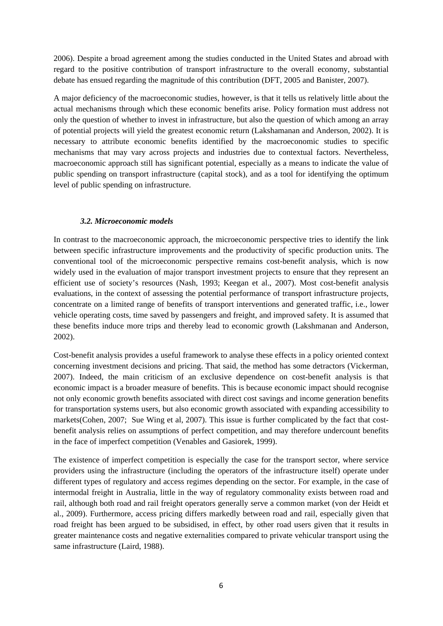2006). Despite a broad agreement among the studies conducted in the United States and abroad with regard to the positive contribution of transport infrastructure to the overall economy, substantial debate has ensued regarding the magnitude of this contribution (DFT, 2005 and Banister, 2007).

A major deficiency of the macroeconomic studies, however, is that it tells us relatively little about the actual mechanisms through which these economic benefits arise. Policy formation must address not only the question of whether to invest in infrastructure, but also the question of which among an array of potential projects will yield the greatest economic return (Lakshamanan and Anderson, 2002). It is necessary to attribute economic benefits identified by the macroeconomic studies to specific mechanisms that may vary across projects and industries due to contextual factors. Nevertheless, macroeconomic approach still has significant potential, especially as a means to indicate the value of public spending on transport infrastructure (capital stock), and as a tool for identifying the optimum level of public spending on infrastructure.

#### *3.2. Microeconomic models*

In contrast to the macroeconomic approach, the microeconomic perspective tries to identify the link between specific infrastructure improvements and the productivity of specific production units. The conventional tool of the microeconomic perspective remains cost-benefit analysis, which is now widely used in the evaluation of major transport investment projects to ensure that they represent an efficient use of society's resources (Nash, 1993; Keegan et al., 2007). Most cost-benefit analysis evaluations, in the context of assessing the potential performance of transport infrastructure projects, concentrate on a limited range of benefits of transport interventions and generated traffic, i.e., lower vehicle operating costs, time saved by passengers and freight, and improved safety. It is assumed that these benefits induce more trips and thereby lead to economic growth (Lakshmanan and Anderson, 2002).

Cost-benefit analysis provides a useful framework to analyse these effects in a policy oriented context concerning investment decisions and pricing. That said, the method has some detractors (Vickerman, 2007). Indeed, the main criticism of an exclusive dependence on cost-benefit analysis is that economic impact is a broader measure of benefits. This is because economic impact should recognise not only economic growth benefits associated with direct cost savings and income generation benefits for transportation systems users, but also economic growth associated with expanding accessibility to markets(Cohen, 2007; Sue Wing et al, 2007). This issue is further complicated by the fact that costbenefit analysis relies on assumptions of perfect competition, and may therefore undercount benefits in the face of imperfect competition (Venables and Gasiorek, 1999).

The existence of imperfect competition is especially the case for the transport sector, where service providers using the infrastructure (including the operators of the infrastructure itself) operate under different types of regulatory and access regimes depending on the sector. For example, in the case of intermodal freight in Australia, little in the way of regulatory commonality exists between road and rail, although both road and rail freight operators generally serve a common market (von der Heidt et al., 2009). Furthermore, access pricing differs markedly between road and rail, especially given that road freight has been argued to be subsidised, in effect, by other road users given that it results in greater maintenance costs and negative externalities compared to private vehicular transport using the same infrastructure (Laird, 1988).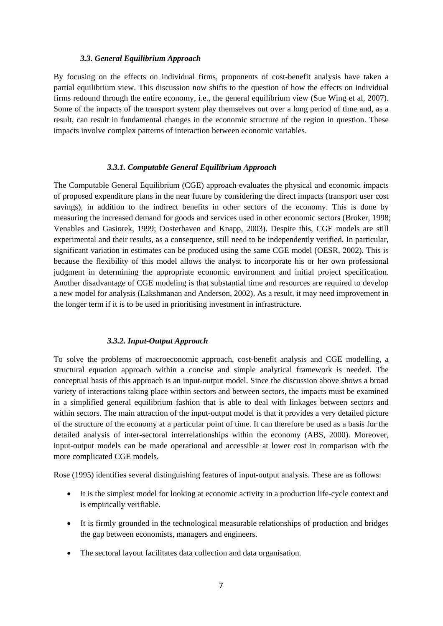#### *3.3. General Equilibrium Approach*

By focusing on the effects on individual firms, proponents of cost-benefit analysis have taken a partial equilibrium view. This discussion now shifts to the question of how the effects on individual firms redound through the entire economy, i.e., the general equilibrium view (Sue Wing et al, 2007). Some of the impacts of the transport system play themselves out over a long period of time and, as a result, can result in fundamental changes in the economic structure of the region in question. These impacts involve complex patterns of interaction between economic variables.

#### *3.3.1. Computable General Equilibrium Approach*

The Computable General Equilibrium (CGE) approach evaluates the physical and economic impacts of proposed expenditure plans in the near future by considering the direct impacts (transport user cost savings), in addition to the indirect benefits in other sectors of the economy. This is done by measuring the increased demand for goods and services used in other economic sectors (Broker, 1998; Venables and Gasiorek, 1999; Oosterhaven and Knapp, 2003). Despite this, CGE models are still experimental and their results, as a consequence, still need to be independently verified. In particular, significant variation in estimates can be produced using the same CGE model (OESR, 2002). This is because the flexibility of this model allows the analyst to incorporate his or her own professional judgment in determining the appropriate economic environment and initial project specification. Another disadvantage of CGE modeling is that substantial time and resources are required to develop a new model for analysis (Lakshmanan and Anderson, 2002). As a result, it may need improvement in the longer term if it is to be used in prioritising investment in infrastructure.

#### *3.3.2. Input-Output Approach*

To solve the problems of macroeconomic approach, cost-benefit analysis and CGE modelling, a structural equation approach within a concise and simple analytical framework is needed. The conceptual basis of this approach is an input-output model. Since the discussion above shows a broad variety of interactions taking place within sectors and between sectors, the impacts must be examined in a simplified general equilibrium fashion that is able to deal with linkages between sectors and within sectors. The main attraction of the input-output model is that it provides a very detailed picture of the structure of the economy at a particular point of time. It can therefore be used as a basis for the detailed analysis of inter-sectoral interrelationships within the economy (ABS, 2000). Moreover, input-output models can be made operational and accessible at lower cost in comparison with the more complicated CGE models.

Rose (1995) identifies several distinguishing features of input-output analysis. These are as follows:

- It is the simplest model for looking at economic activity in a production life-cycle context and is empirically verifiable.
- It is firmly grounded in the technological measurable relationships of production and bridges the gap between economists, managers and engineers.
- The sectoral layout facilitates data collection and data organisation.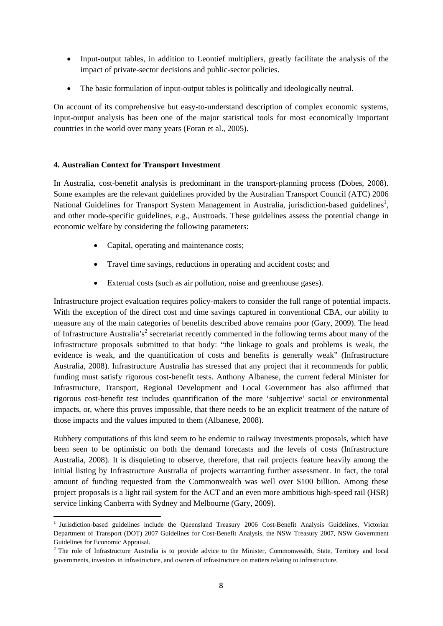- Input-output tables, in addition to Leontief multipliers, greatly facilitate the analysis of the impact of private-sector decisions and public-sector policies.
- The basic formulation of input-output tables is politically and ideologically neutral.

On account of its comprehensive but easy-to-understand description of complex economic systems, input-output analysis has been one of the major statistical tools for most economically important countries in the world over many years (Foran et al., 2005).

## **4. Australian Context for Transport Investment**

In Australia, cost-benefit analysis is predominant in the transport-planning process (Dobes, 2008). Some examples are the relevant guidelines provided by the Australian Transport Council (ATC) 2006 National Guidelines for Transport System Management in Australia, jurisdiction-based guidelines<sup>1</sup>, and other mode-specific guidelines, e.g., Austroads. These guidelines assess the potential change in economic welfare by considering the following parameters:

- Capital, operating and maintenance costs;
- Travel time savings, reductions in operating and accident costs; and
- External costs (such as air pollution, noise and greenhouse gases).

Infrastructure project evaluation requires policy-makers to consider the full range of potential impacts. With the exception of the direct cost and time savings captured in conventional CBA, our ability to measure any of the main categories of benefits described above remains poor (Gary, 2009). The head of Infrastructure Australia's<sup>2</sup> secretariat recently commented in the following terms about many of the infrastructure proposals submitted to that body: "the linkage to goals and problems is weak, the evidence is weak, and the quantification of costs and benefits is generally weak" (Infrastructure Australia, 2008). Infrastructure Australia has stressed that any project that it recommends for public funding must satisfy rigorous cost-benefit tests. Anthony Albanese, the current federal Minister for Infrastructure, Transport, Regional Development and Local Government has also affirmed that rigorous cost-benefit test includes quantification of the more 'subjective' social or environmental impacts, or, where this proves impossible, that there needs to be an explicit treatment of the nature of those impacts and the values imputed to them (Albanese, 2008).

Rubbery computations of this kind seem to be endemic to railway investments proposals, which have been seen to be optimistic on both the demand forecasts and the levels of costs (Infrastructure Australia, 2008). It is disquieting to observe, therefore, that rail projects feature heavily among the initial listing by Infrastructure Australia of projects warranting further assessment. In fact, the total amount of funding requested from the Commonwealth was well over \$100 billion. Among these project proposals is a light rail system for the ACT and an even more ambitious high-speed rail (HSR) service linking Canberra with Sydney and Melbourne (Gary, 2009).

 <sup>1</sup> Jurisdiction-based guidelines include the Queensland Treasury 2006 Cost-Benefit Analysis Guidelines, Victorian Department of Transport (DOT) 2007 Guidelines for Cost-Benefit Analysis, the NSW Treasury 2007, NSW Government Guidelines for Economic Appraisal.

<sup>&</sup>lt;sup>2</sup> The role of Infrastructure Australia is to provide advice to the Minister, Commonwealth, State, Territory and local governments, investors in infrastructure, and owners of infrastructure on matters relating to infrastructure.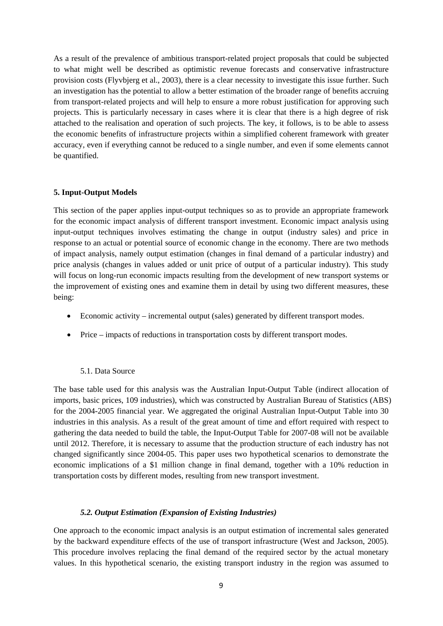As a result of the prevalence of ambitious transport-related project proposals that could be subjected to what might well be described as optimistic revenue forecasts and conservative infrastructure provision costs (Flyvbjerg et al., 2003), there is a clear necessity to investigate this issue further. Such an investigation has the potential to allow a better estimation of the broader range of benefits accruing from transport-related projects and will help to ensure a more robust justification for approving such projects. This is particularly necessary in cases where it is clear that there is a high degree of risk attached to the realisation and operation of such projects. The key, it follows, is to be able to assess the economic benefits of infrastructure projects within a simplified coherent framework with greater accuracy, even if everything cannot be reduced to a single number, and even if some elements cannot be quantified.

#### **5. Input-Output Models**

This section of the paper applies input-output techniques so as to provide an appropriate framework for the economic impact analysis of different transport investment. Economic impact analysis using input-output techniques involves estimating the change in output (industry sales) and price in response to an actual or potential source of economic change in the economy. There are two methods of impact analysis, namely output estimation (changes in final demand of a particular industry) and price analysis (changes in values added or unit price of output of a particular industry). This study will focus on long-run economic impacts resulting from the development of new transport systems or the improvement of existing ones and examine them in detail by using two different measures, these being:

- Economic activity incremental output (sales) generated by different transport modes.
- Price impacts of reductions in transportation costs by different transport modes.

#### 5.1. Data Source

The base table used for this analysis was the Australian Input-Output Table (indirect allocation of imports, basic prices, 109 industries), which was constructed by Australian Bureau of Statistics (ABS) for the 2004-2005 financial year. We aggregated the original Australian Input-Output Table into 30 industries in this analysis. As a result of the great amount of time and effort required with respect to gathering the data needed to build the table, the Input-Output Table for 2007-08 will not be available until 2012. Therefore, it is necessary to assume that the production structure of each industry has not changed significantly since 2004-05. This paper uses two hypothetical scenarios to demonstrate the economic implications of a \$1 million change in final demand, together with a 10% reduction in transportation costs by different modes, resulting from new transport investment.

#### *5.2. Output Estimation (Expansion of Existing Industries)*

One approach to the economic impact analysis is an output estimation of incremental sales generated by the backward expenditure effects of the use of transport infrastructure (West and Jackson, 2005). This procedure involves replacing the final demand of the required sector by the actual monetary values. In this hypothetical scenario, the existing transport industry in the region was assumed to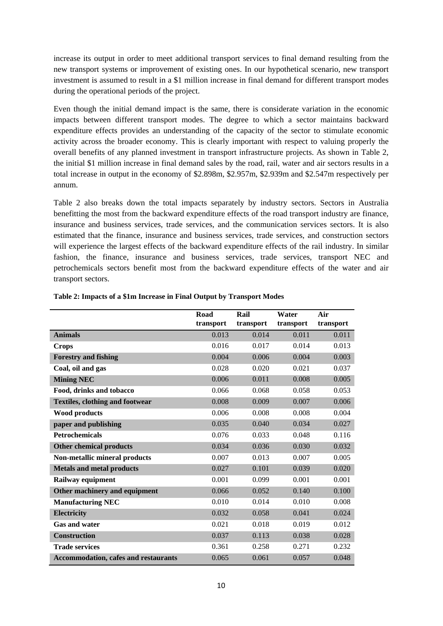increase its output in order to meet additional transport services to final demand resulting from the new transport systems or improvement of existing ones. In our hypothetical scenario, new transport investment is assumed to result in a \$1 million increase in final demand for different transport modes during the operational periods of the project.

Even though the initial demand impact is the same, there is considerate variation in the economic impacts between different transport modes. The degree to which a sector maintains backward expenditure effects provides an understanding of the capacity of the sector to stimulate economic activity across the broader economy. This is clearly important with respect to valuing properly the overall benefits of any planned investment in transport infrastructure projects. As shown in Table 2, the initial \$1 million increase in final demand sales by the road, rail, water and air sectors results in a total increase in output in the economy of \$2.898m, \$2.957m, \$2.939m and \$2.547m respectively per annum.

Table 2 also breaks down the total impacts separately by industry sectors. Sectors in Australia benefitting the most from the backward expenditure effects of the road transport industry are finance, insurance and business services, trade services, and the communication services sectors. It is also estimated that the finance, insurance and business services, trade services, and construction sectors will experience the largest effects of the backward expenditure effects of the rail industry. In similar fashion, the finance, insurance and business services, trade services, transport NEC and petrochemicals sectors benefit most from the backward expenditure effects of the water and air transport sectors.

|                                             | Road<br>transport | Rail<br>transport | Water<br>transport | Air<br>transport |
|---------------------------------------------|-------------------|-------------------|--------------------|------------------|
| <b>Animals</b>                              | 0.013             | 0.014             | 0.011              | 0.011            |
| <b>Crops</b>                                | 0.016             | 0.017             | 0.014              | 0.013            |
| <b>Forestry and fishing</b>                 | 0.004             | 0.006             | 0.004              | 0.003            |
| Coal, oil and gas                           | 0.028             | 0.020             | 0.021              | 0.037            |
| <b>Mining NEC</b>                           | 0.006             | 0.011             | 0.008              | 0.005            |
| Food, drinks and tobacco                    | 0.066             | 0.068             | 0.058              | 0.053            |
| <b>Textiles, clothing and footwear</b>      | 0.008             | 0.009             | 0.007              | 0.006            |
| <b>Wood products</b>                        | 0.006             | 0.008             | 0.008              | 0.004            |
| paper and publishing                        | 0.035             | 0.040             | 0.034              | 0.027            |
| <b>Petrochemicals</b>                       | 0.076             | 0.033             | 0.048              | 0.116            |
| <b>Other chemical products</b>              | 0.034             | 0.036             | 0.030              | 0.032            |
| Non-metallic mineral products               | 0.007             | 0.013             | 0.007              | 0.005            |
| <b>Metals and metal products</b>            | 0.027             | 0.101             | 0.039              | 0.020            |
| Railway equipment                           | 0.001             | 0.099             | 0.001              | 0.001            |
| Other machinery and equipment               | 0.066             | 0.052             | 0.140              | 0.100            |
| <b>Manufacturing NEC</b>                    | 0.010             | 0.014             | 0.010              | 0.008            |
| <b>Electricity</b>                          | 0.032             | 0.058             | 0.041              | 0.024            |
| <b>Gas and water</b>                        | 0.021             | 0.018             | 0.019              | 0.012            |
| <b>Construction</b>                         | 0.037             | 0.113             | 0.038              | 0.028            |
| <b>Trade services</b>                       | 0.361             | 0.258             | 0.271              | 0.232            |
| <b>Accommodation, cafes and restaurants</b> | 0.065             | 0.061             | 0.057              | 0.048            |

#### **Table 2: Impacts of a \$1m Increase in Final Output by Transport Modes**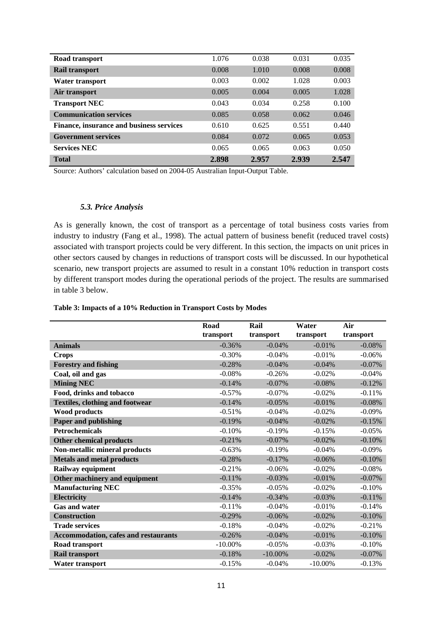| Road transport                           | 1.076 | 0.038 | 0.031 | 0.035 |
|------------------------------------------|-------|-------|-------|-------|
| <b>Rail transport</b>                    | 0.008 | 1.010 | 0.008 | 0.008 |
| Water transport                          | 0.003 | 0.002 | 1.028 | 0.003 |
| Air transport                            | 0.005 | 0.004 | 0.005 | 1.028 |
| <b>Transport NEC</b>                     | 0.043 | 0.034 | 0.258 | 0.100 |
| <b>Communication services</b>            | 0.085 | 0.058 | 0.062 | 0.046 |
| Finance, insurance and business services | 0.610 | 0.625 | 0.551 | 0.440 |
| <b>Government services</b>               | 0.084 | 0.072 | 0.065 | 0.053 |
| <b>Services NEC</b>                      | 0.065 | 0.065 | 0.063 | 0.050 |
| <b>Total</b>                             | 2.898 | 2.957 | 2.939 | 2.547 |

Source: Authors' calculation based on 2004-05 Australian Input-Output Table.

#### *5.3. Price Analysis*

As is generally known, the cost of transport as a percentage of total business costs varies from industry to industry (Fang et al., 1998). The actual pattern of business benefit (reduced travel costs) associated with transport projects could be very different. In this section, the impacts on unit prices in other sectors caused by changes in reductions of transport costs will be discussed. In our hypothetical scenario, new transport projects are assumed to result in a constant 10% reduction in transport costs by different transport modes during the operational periods of the project. The results are summarised in table 3 below.

#### **Table 3: Impacts of a 10% Reduction in Transport Costs by Modes**

|                                             | Road       | Rail       | Water      | Air       |
|---------------------------------------------|------------|------------|------------|-----------|
|                                             | transport  | transport  | transport  | transport |
| <b>Animals</b>                              | $-0.36%$   | $-0.04%$   | $-0.01%$   | $-0.08%$  |
| <b>Crops</b>                                | $-0.30%$   | $-0.04%$   | $-0.01%$   | $-0.06%$  |
| <b>Forestry and fishing</b>                 | $-0.28%$   | $-0.04%$   | $-0.04%$   | $-0.07%$  |
| Coal, oil and gas                           | $-0.08%$   | $-0.26%$   | $-0.02\%$  | $-0.04%$  |
| <b>Mining NEC</b>                           | $-0.14%$   | $-0.07%$   | $-0.08%$   | $-0.12%$  |
| Food, drinks and tobacco                    | $-0.57%$   | $-0.07\%$  | $-0.02\%$  | $-0.11%$  |
| <b>Textiles, clothing and footwear</b>      | $-0.14%$   | $-0.05%$   | $-0.01%$   | $-0.08%$  |
| <b>Wood products</b>                        | $-0.51%$   | $-0.04%$   | $-0.02%$   | $-0.09%$  |
| <b>Paper and publishing</b>                 | $-0.19%$   | $-0.04%$   | $-0.02\%$  | $-0.15%$  |
| <b>Petrochemicals</b>                       | $-0.10%$   | $-0.19%$   | $-0.15%$   | $-0.05%$  |
| <b>Other chemical products</b>              | $-0.21%$   | $-0.07%$   | $-0.02%$   | $-0.10%$  |
| Non-metallic mineral products               | $-0.63%$   | $-0.19%$   | $-0.04%$   | $-0.09%$  |
| <b>Metals and metal products</b>            | $-0.28%$   | $-0.17%$   | $-0.06%$   | $-0.10%$  |
| Railway equipment                           | $-0.21%$   | $-0.06%$   | $-0.02%$   | $-0.08%$  |
| Other machinery and equipment               | $-0.11%$   | $-0.03%$   | $-0.01%$   | $-0.07%$  |
| <b>Manufacturing NEC</b>                    | $-0.35%$   | $-0.05%$   | $-0.02\%$  | $-0.10%$  |
| <b>Electricity</b>                          | $-0.14%$   | $-0.34%$   | $-0.03%$   | $-0.11%$  |
| <b>Gas and water</b>                        | $-0.11%$   | $-0.04%$   | $-0.01%$   | $-0.14%$  |
| <b>Construction</b>                         | $-0.29%$   | $-0.06%$   | $-0.02%$   | $-0.10%$  |
| <b>Trade services</b>                       | $-0.18%$   | $-0.04%$   | $-0.02%$   | $-0.21%$  |
| <b>Accommodation, cafes and restaurants</b> | $-0.26%$   | $-0.04%$   | $-0.01\%$  | $-0.10%$  |
| Road transport                              | $-10.00\%$ | $-0.05%$   | $-0.03%$   | $-0.10%$  |
| Rail transport                              | $-0.18%$   | $-10.00\%$ | $-0.02\%$  | $-0.07%$  |
| <b>Water transport</b>                      | $-0.15%$   | $-0.04%$   | $-10.00\%$ | $-0.13%$  |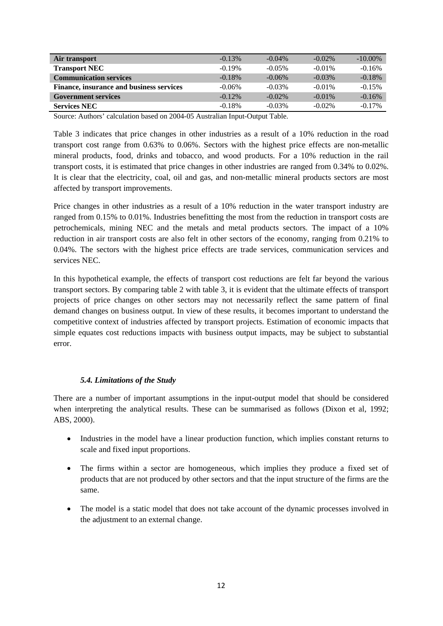| Air transport                            | $-0.13%$  | $-0.04\%$ | $-0.02\%$ | $-10.00\%$ |
|------------------------------------------|-----------|-----------|-----------|------------|
| <b>Transport NEC</b>                     | $-0.19%$  | $-0.05\%$ | $-0.01\%$ | $-0.16%$   |
| <b>Communication services</b>            | $-0.18%$  | $-0.06\%$ | $-0.03\%$ | $-0.18%$   |
| Finance, insurance and business services | $-0.06\%$ | $-0.03\%$ | $-0.01\%$ | $-0.15%$   |
| <b>Government services</b>               | $-0.12\%$ | $-0.02\%$ | $-0.01\%$ | $-0.16%$   |
| <b>Services NEC</b>                      | $-0.18%$  | $-0.03\%$ | $-0.02\%$ | $-0.17\%$  |

Source: Authors' calculation based on 2004-05 Australian Input-Output Table.

Table 3 indicates that price changes in other industries as a result of a 10% reduction in the road transport cost range from 0.63% to 0.06%. Sectors with the highest price effects are non-metallic mineral products, food, drinks and tobacco, and wood products. For a 10% reduction in the rail transport costs, it is estimated that price changes in other industries are ranged from 0.34% to 0.02%. It is clear that the electricity, coal, oil and gas, and non-metallic mineral products sectors are most affected by transport improvements.

Price changes in other industries as a result of a 10% reduction in the water transport industry are ranged from 0.15% to 0.01%. Industries benefitting the most from the reduction in transport costs are petrochemicals, mining NEC and the metals and metal products sectors. The impact of a 10% reduction in air transport costs are also felt in other sectors of the economy, ranging from 0.21% to 0.04%. The sectors with the highest price effects are trade services, communication services and services NEC.

In this hypothetical example, the effects of transport cost reductions are felt far beyond the various transport sectors. By comparing table 2 with table 3, it is evident that the ultimate effects of transport projects of price changes on other sectors may not necessarily reflect the same pattern of final demand changes on business output. In view of these results, it becomes important to understand the competitive context of industries affected by transport projects. Estimation of economic impacts that simple equates cost reductions impacts with business output impacts, may be subject to substantial error.

#### *5.4. Limitations of the Study*

There are a number of important assumptions in the input-output model that should be considered when interpreting the analytical results. These can be summarised as follows (Dixon et al, 1992; ABS, 2000).

- Industries in the model have a linear production function, which implies constant returns to scale and fixed input proportions.
- The firms within a sector are homogeneous, which implies they produce a fixed set of products that are not produced by other sectors and that the input structure of the firms are the same.
- The model is a static model that does not take account of the dynamic processes involved in the adjustment to an external change.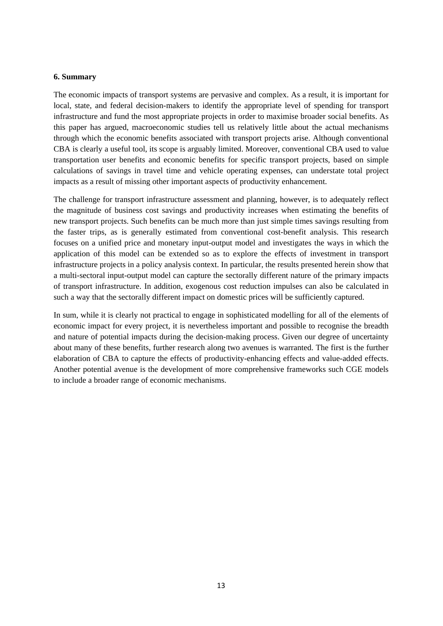#### **6. Summary**

The economic impacts of transport systems are pervasive and complex. As a result, it is important for local, state, and federal decision-makers to identify the appropriate level of spending for transport infrastructure and fund the most appropriate projects in order to maximise broader social benefits. As this paper has argued, macroeconomic studies tell us relatively little about the actual mechanisms through which the economic benefits associated with transport projects arise. Although conventional CBA is clearly a useful tool, its scope is arguably limited. Moreover, conventional CBA used to value transportation user benefits and economic benefits for specific transport projects, based on simple calculations of savings in travel time and vehicle operating expenses, can understate total project impacts as a result of missing other important aspects of productivity enhancement.

The challenge for transport infrastructure assessment and planning, however, is to adequately reflect the magnitude of business cost savings and productivity increases when estimating the benefits of new transport projects. Such benefits can be much more than just simple times savings resulting from the faster trips, as is generally estimated from conventional cost-benefit analysis. This research focuses on a unified price and monetary input-output model and investigates the ways in which the application of this model can be extended so as to explore the effects of investment in transport infrastructure projects in a policy analysis context. In particular, the results presented herein show that a multi-sectoral input-output model can capture the sectorally different nature of the primary impacts of transport infrastructure. In addition, exogenous cost reduction impulses can also be calculated in such a way that the sectorally different impact on domestic prices will be sufficiently captured.

In sum, while it is clearly not practical to engage in sophisticated modelling for all of the elements of economic impact for every project, it is nevertheless important and possible to recognise the breadth and nature of potential impacts during the decision-making process. Given our degree of uncertainty about many of these benefits, further research along two avenues is warranted. The first is the further elaboration of CBA to capture the effects of productivity-enhancing effects and value-added effects. Another potential avenue is the development of more comprehensive frameworks such CGE models to include a broader range of economic mechanisms.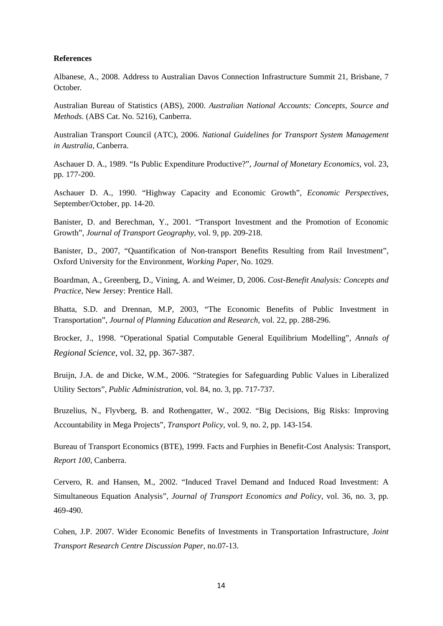#### **References**

Albanese, A., 2008. Address to Australian Davos Connection Infrastructure Summit 21, Brisbane, 7 October.

Australian Bureau of Statistics (ABS), 2000. *Australian National Accounts: Concepts, Source and Methods*. (ABS Cat. No. 5216), Canberra.

Australian Transport Council (ATC), 2006. *National Guidelines for Transport System Management in Australia*, Canberra.

Aschauer D. A., 1989. "Is Public Expenditure Productive?", *Journal of Monetary Economics*, vol. 23, pp. 177-200.

Aschauer D. A., 1990. "Highway Capacity and Economic Growth", *Economic Perspectives*, September/October, pp. 14-20.

Banister, D. and Berechman, Y., 2001. "Transport Investment and the Promotion of Economic Growth", *Journal of Transport Geography*, vol. 9, pp. 209-218.

Banister, D., 2007, "Quantification of Non-transport Benefits Resulting from Rail Investment", Oxford University for the Environment, *Working Paper*, No. 1029.

Boardman, A., Greenberg, D., Vining, A. and Weimer, D, 2006. *Cost-Benefit Analysis: Concepts and Practice*, New Jersey: Prentice Hall.

Bhatta, S.D. and Drennan, M.P, 2003, "The Economic Benefits of Public Investment in Transportation", *Journal of Planning Education and Research*, vol. 22, pp. 288-296.

Brocker, J., 1998. "Operational Spatial Computable General Equilibrium Modelling", *Annals of Regional Science*, vol. 32, pp. 367-387.

Bruijn, J.A. de and Dicke, W.M., 2006. "Strategies for Safeguarding Public Values in Liberalized Utility Sectors", *Public Administration*, vol. 84, no. 3, pp. 717-737.

Bruzelius, N., Flyvberg, B. and Rothengatter, W., 2002. "Big Decisions, Big Risks: Improving Accountability in Mega Projects", *Transport Policy*, vol. 9, no. 2, pp. 143-154.

Bureau of Transport Economics (BTE), 1999. Facts and Furphies in Benefit-Cost Analysis: Transport*, Report 100*, Canberra.

Cervero, R. and Hansen, M., 2002. "Induced Travel Demand and Induced Road Investment: A Simultaneous Equation Analysis", *Journal of Transport Economics and Policy*, vol. 36, no. 3, pp. 469-490.

Cohen, J.P. 2007. Wider Economic Benefits of Investments in Transportation Infrastructure, *Joint Transport Research Centre Discussion Paper*, no.07-13.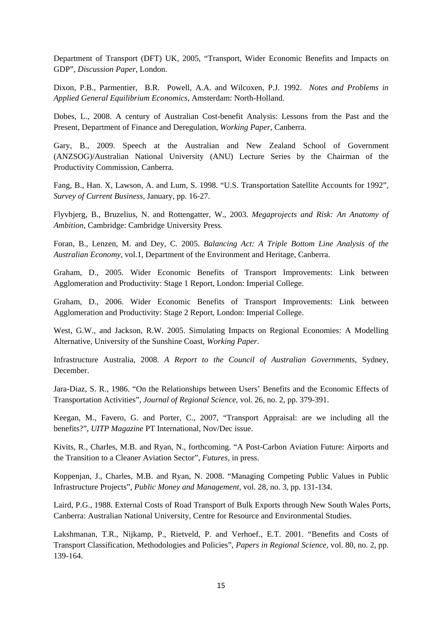Department of Transport (DFT) UK, 2005, "Transport, Wider Economic Benefits and Impacts on GDP", *Discussion Paper*, London.

Dixon, P.B., Parmentier, B.R. Powell, A.A. and Wilcoxen, P.J. 1992. *Notes and Problems in Applied General Equilibrium Economics*, Amsterdam: North-Holland.

Dobes, L., 2008. A century of Australian Cost-benefit Analysis: Lessons from the Past and the Present*,* Department of Finance and Deregulation, *Working Paper*, Canberra.

Gary, B., 2009. Speech at the Australian and New Zealand School of Government (ANZSOG)/Australian National University (ANU) Lecture Series by the Chairman of the Productivity Commission, Canberra.

Fang, B., Han. X, Lawson, A. and Lum, S. 1998. "U.S. Transportation Satellite Accounts for 1992", *Survey of Current Business*, January, pp. 16-27.

Flyvbjerg, B., Bruzelius, N. and Rottengatter, W., 2003. *Megaprojects and Risk: An Anatomy of Ambition*, Cambridge: Cambridge University Press*.* 

Foran, B., Lenzen, M. and Dey, C. 2005. *Balancing Act: A Triple Bottom Line Analysis of the Australian Economy*, vol.1, Department of the Environment and Heritage, Canberra.

Graham, D., 2005. Wider Economic Benefits of Transport Improvements: Link between Agglomeration and Productivity: Stage 1 Report, London: Imperial College.

Graham, D., 2006. Wider Economic Benefits of Transport Improvements: Link between Agglomeration and Productivity: Stage 2 Report, London: Imperial College.

West, G.W., and Jackson, R.W. 2005. Simulating Impacts on Regional Economies: A Modelling Alternative, University of the Sunshine Coast, *Working Paper*.

Infrastructure Australia, 2008. *A Report to the Council of Australian Governments*, Sydney, December.

Jara-Diaz, S. R., 1986. "On the Relationships between Users' Benefits and the Economic Effects of Transportation Activities", *Journal of Regional Science*, vol. 26, no. 2, pp. 379-391.

Keegan, M., Favero, G. and Porter, C., 2007, "Transport Appraisal: are we including all the benefits?", *UITP Magazine* PT International, Nov/Dec issue.

Kivits, R., Charles, M.B. and Ryan, N., forthcoming. "A Post-Carbon Aviation Future: Airports and the Transition to a Cleaner Aviation Sector", *Futures*, in press.

Koppenjan, J., Charles, M.B. and Ryan, N. 2008. "Managing Competing Public Values in Public Infrastructure Projects", *Public Money and Management*, vol. 28, no. 3, pp. 131-134.

Laird, P.G., 1988. External Costs of Road Transport of Bulk Exports through New South Wales Ports, Canberra: Australian National University, Centre for Resource and Environmental Studies.

Lakshmanan, T.R., Nijkamp, P., Rietveld, P. and Verhoef., E.T. 2001. "Benefits and Costs of Transport Classification, Methodologies and Policies", *Papers in Regional Science*, vol. 80, no. 2, pp. 139-164.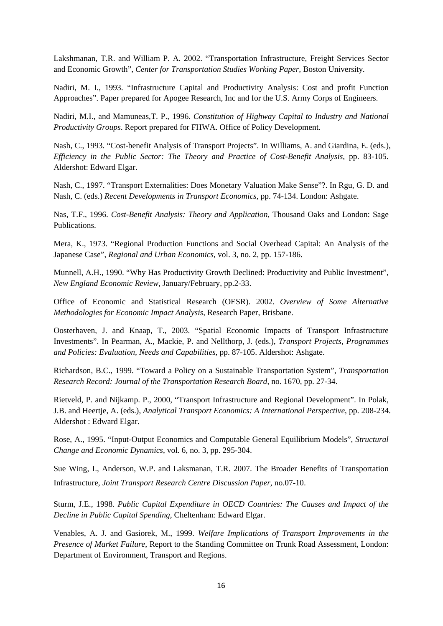Lakshmanan, T.R. and William P. A. 2002. "Transportation Infrastructure, Freight Services Sector and Economic Growth", *Center for Transportation Studies Working Paper,* Boston University*.* 

Nadiri, M. I., 1993. "Infrastructure Capital and Productivity Analysis: Cost and profit Function Approaches". Paper prepared for Apogee Research, Inc and for the U.S. Army Corps of Engineers.

Nadiri, M.I., and Mamuneas,T. P., 1996. *Constitution of Highway Capital to Industry and National Productivity Groups*. Report prepared for FHWA. Office of Policy Development.

Nash, C., 1993. "Cost-benefit Analysis of Transport Projects". In Williams, A. and Giardina, E. (eds.), *Efficiency in the Public Sector: The Theory and Practice of Cost-Benefit Analysis*, pp. 83-105. Aldershot: Edward Elgar.

Nash, C., 1997. "Transport Externalities: Does Monetary Valuation Make Sense"?. In Rgu, G. D. and Nash, C. (eds.) *Recent Developments in Transport Economics*, pp. 74-134. London: Ashgate.

Nas, T.F., 1996. *Cost-Benefit Analysis: Theory and Application*, Thousand Oaks and London: Sage Publications.

Mera, K., 1973. "Regional Production Functions and Social Overhead Capital: An Analysis of the Japanese Case", *Regional and Urban Economics*, vol. 3, no. 2, pp. 157-186.

Munnell, A.H., 1990. "Why Has Productivity Growth Declined: Productivity and Public Investment", *New England Economic Review*, January/February, pp.2-33.

Office of Economic and Statistical Research (OESR). 2002. *Overview of Some Alternative Methodologies for Economic Impact Analysis*, Research Paper, Brisbane.

Oosterhaven, J. and Knaap, T., 2003. "Spatial Economic Impacts of Transport Infrastructure Investments". In Pearman, A., Mackie, P. and Nellthorp, J. (eds.), *Transport Projects, Programmes and Policies: Evaluation, Needs and Capabilities*, pp. 87-105. Aldershot: Ashgate.

Richardson, B.C., 1999. "Toward a Policy on a Sustainable Transportation System", *Transportation Research Record: Journal of the Transportation Research Board*, no. 1670, pp. 27-34.

Rietveld, P. and Nijkamp. P., 2000, "Transport Infrastructure and Regional Development". In Polak, J.B. and Heertje, A. (eds.), *Analytical Transport Economics: A International Perspective*, pp. 208-234. Aldershot : Edward Elgar.

Rose, A., 1995. "Input-Output Economics and Computable General Equilibrium Models", *Structural Change and Economic Dynamics*, vol. 6, no. 3, pp. 295-304.

Sue Wing, I., Anderson, W.P. and Laksmanan, T.R. 2007. The Broader Benefits of Transportation Infrastructure, *Joint Transport Research Centre Discussion Paper*, no.07-10.

Sturm, J.E., 1998. *Public Capital Expenditure in OECD Countries: The Causes and Impact of the Decline in Public Capital Spending*, Cheltenham: Edward Elgar.

Venables, A. J. and Gasiorek, M., 1999. *Welfare Implications of Transport Improvements in the Presence of Market Failure*, Report to the Standing Committee on Trunk Road Assessment, London: Department of Environment, Transport and Regions.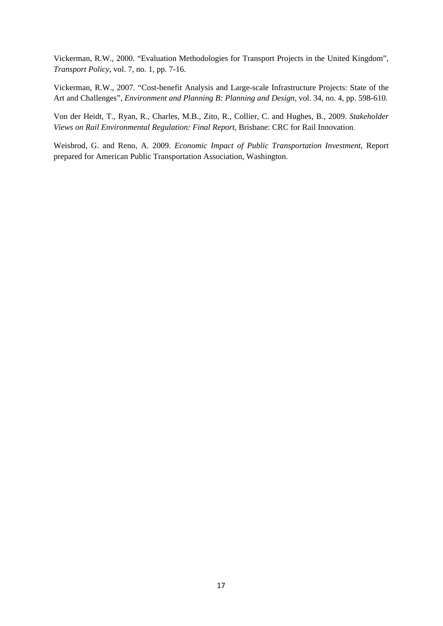Vickerman, R.W., 2000. "Evaluation Methodologies for Transport Projects in the United Kingdom", *Transport Policy*, vol. 7, no. 1, pp. 7-16.

Vickerman, R.W., 2007. "Cost-benefit Analysis and Large-scale Infrastructure Projects: State of the Art and Challenges", *Environment and Planning B: Planning and Design*, vol. 34, no. 4, pp. 598-610.

Von der Heidt, T., Ryan, R., Charles, M.B., Zito, R., Collier, C. and Hughes, B., 2009. *Stakeholder Views on Rail Environmental Regulation: Final Report*, Brisbane: CRC for Rail Innovation.

Weisbrod, G. and Reno, A. 2009. *Economic Impact of Public Transportation Investment*, Report prepared for American Public Transportation Association, Washington.